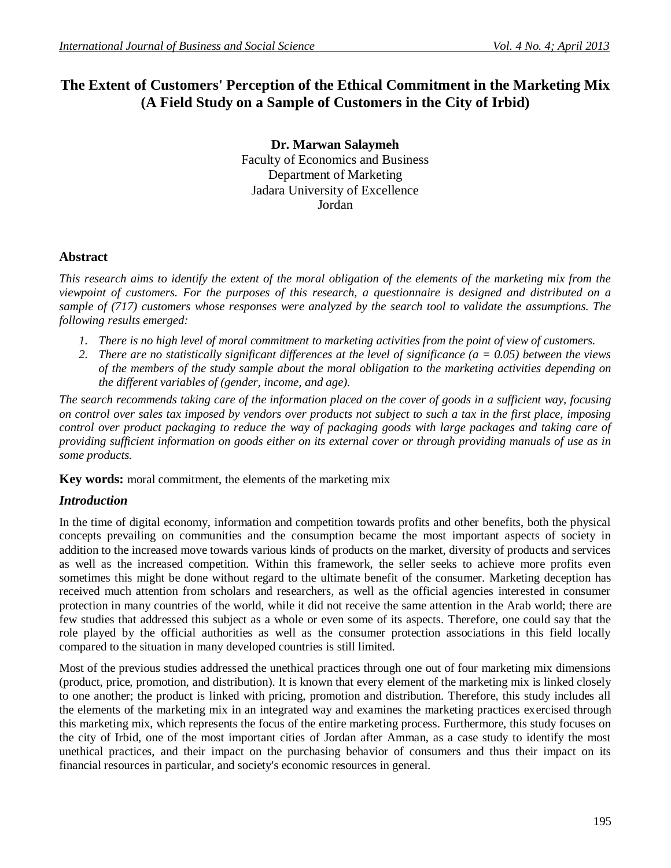# **The Extent of Customers' Perception of the Ethical Commitment in the Marketing Mix (A Field Study on a Sample of Customers in the City of Irbid)**

**Dr. Marwan Salaymeh** Faculty of Economics and Business Department of Marketing Jadara University of Excellence Jordan

### **Abstract**

*This research aims to identify the extent of the moral obligation of the elements of the marketing mix from the viewpoint of customers. For the purposes of this research, a questionnaire is designed and distributed on a sample of (717) customers whose responses were analyzed by the search tool to validate the assumptions. The following results emerged:*

- *1. There is no high level of moral commitment to marketing activities from the point of view of customers.*
- *2. There are no statistically significant differences at the level of significance (a = 0.05) between the views of the members of the study sample about the moral obligation to the marketing activities depending on the different variables of (gender, income, and age).*

*The search recommends taking care of the information placed on the cover of goods in a sufficient way, focusing on control over sales tax imposed by vendors over products not subject to such a tax in the first place, imposing control over product packaging to reduce the way of packaging goods with large packages and taking care of providing sufficient information on goods either on its external cover or through providing manuals of use as in some products.*

**Key words:** moral commitment, the elements of the marketing mix

# *Introduction*

In the time of digital economy, information and competition towards profits and other benefits, both the physical concepts prevailing on communities and the consumption became the most important aspects of society in addition to the increased move towards various kinds of products on the market, diversity of products and services as well as the increased competition. Within this framework, the seller seeks to achieve more profits even sometimes this might be done without regard to the ultimate benefit of the consumer. Marketing deception has received much attention from scholars and researchers, as well as the official agencies interested in consumer protection in many countries of the world, while it did not receive the same attention in the Arab world; there are few studies that addressed this subject as a whole or even some of its aspects. Therefore, one could say that the role played by the official authorities as well as the consumer protection associations in this field locally compared to the situation in many developed countries is still limited.

Most of the previous studies addressed the unethical practices through one out of four marketing mix dimensions (product, price, promotion, and distribution). It is known that every element of the marketing mix is linked closely to one another; the product is linked with pricing, promotion and distribution. Therefore, this study includes all the elements of the marketing mix in an integrated way and examines the marketing practices exercised through this marketing mix, which represents the focus of the entire marketing process. Furthermore, this study focuses on the city of Irbid, one of the most important cities of Jordan after Amman, as a case study to identify the most unethical practices, and their impact on the purchasing behavior of consumers and thus their impact on its financial resources in particular, and society's economic resources in general.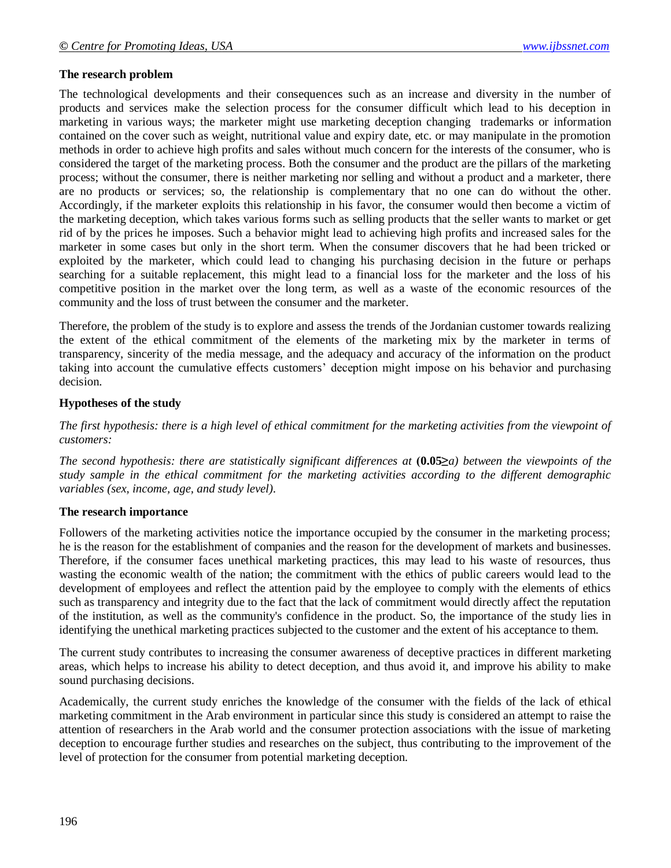#### **The research problem**

The technological developments and their consequences such as an increase and diversity in the number of products and services make the selection process for the consumer difficult which lead to his deception in marketing in various ways; the marketer might use marketing deception changing trademarks or information contained on the cover such as weight, nutritional value and expiry date, etc. or may manipulate in the promotion methods in order to achieve high profits and sales without much concern for the interests of the consumer, who is considered the target of the marketing process. Both the consumer and the product are the pillars of the marketing process; without the consumer, there is neither marketing nor selling and without a product and a marketer, there are no products or services; so, the relationship is complementary that no one can do without the other. Accordingly, if the marketer exploits this relationship in his favor, the consumer would then become a victim of the marketing deception, which takes various forms such as selling products that the seller wants to market or get rid of by the prices he imposes. Such a behavior might lead to achieving high profits and increased sales for the marketer in some cases but only in the short term. When the consumer discovers that he had been tricked or exploited by the marketer, which could lead to changing his purchasing decision in the future or perhaps searching for a suitable replacement, this might lead to a financial loss for the marketer and the loss of his competitive position in the market over the long term, as well as a waste of the economic resources of the community and the loss of trust between the consumer and the marketer.

Therefore, the problem of the study is to explore and assess the trends of the Jordanian customer towards realizing the extent of the ethical commitment of the elements of the marketing mix by the marketer in terms of transparency, sincerity of the media message, and the adequacy and accuracy of the information on the product taking into account the cumulative effects customers' deception might impose on his behavior and purchasing decision.

#### **Hypotheses of the study**

*The first hypothesis: there is a high level of ethical commitment for the marketing activities from the viewpoint of customers:*

*The second hypothesis: there are statistically significant differences at (0.05≥a) between the viewpoints of the study sample in the ethical commitment for the marketing activities according to the different demographic variables (sex, income, age, and study level).*

#### **The research importance**

Followers of the marketing activities notice the importance occupied by the consumer in the marketing process; he is the reason for the establishment of companies and the reason for the development of markets and businesses. Therefore, if the consumer faces unethical marketing practices, this may lead to his waste of resources, thus wasting the economic wealth of the nation; the commitment with the ethics of public careers would lead to the development of employees and reflect the attention paid by the employee to comply with the elements of ethics such as transparency and integrity due to the fact that the lack of commitment would directly affect the reputation of the institution, as well as the community's confidence in the product. So, the importance of the study lies in identifying the unethical marketing practices subjected to the customer and the extent of his acceptance to them.

The current study contributes to increasing the consumer awareness of deceptive practices in different marketing areas, which helps to increase his ability to detect deception, and thus avoid it, and improve his ability to make sound purchasing decisions.

Academically, the current study enriches the knowledge of the consumer with the fields of the lack of ethical marketing commitment in the Arab environment in particular since this study is considered an attempt to raise the attention of researchers in the Arab world and the consumer protection associations with the issue of marketing deception to encourage further studies and researches on the subject, thus contributing to the improvement of the level of protection for the consumer from potential marketing deception.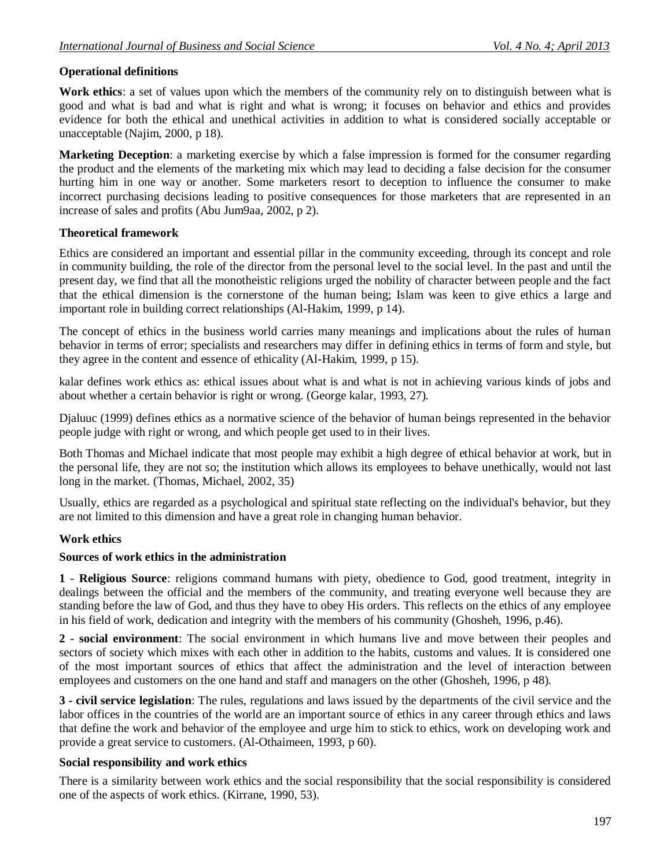### **Operational definitions**

**Work ethics**: a set of values upon which the members of the community rely on to distinguish between what is good and what is bad and what is right and what is wrong; it focuses on behavior and ethics and provides evidence for both the ethical and unethical activities in addition to what is considered socially acceptable or unacceptable (Najim, 2000, p 18).

**Marketing Deception**: a marketing exercise by which a false impression is formed for the consumer regarding the product and the elements of the marketing mix which may lead to deciding a false decision for the consumer hurting him in one way or another. Some marketers resort to deception to influence the consumer to make incorrect purchasing decisions leading to positive consequences for those marketers that are represented in an increase of sales and profits (Abu Jum9aa, 2002, p 2).

### **Theoretical framework**

Ethics are considered an important and essential pillar in the community exceeding, through its concept and role in community building, the role of the director from the personal level to the social level. In the past and until the present day, we find that all the monotheistic religions urged the nobility of character between people and the fact that the ethical dimension is the cornerstone of the human being; Islam was keen to give ethics a large and important role in building correct relationships (Al-Hakim, 1999, p 14).

The concept of ethics in the business world carries many meanings and implications about the rules of human behavior in terms of error; specialists and researchers may differ in defining ethics in terms of form and style, but they agree in the content and essence of ethicality (Al-Hakim, 1999, p 15).

kalar defines work ethics as: ethical issues about what is and what is not in achieving various kinds of jobs and about whether a certain behavior is right or wrong. (George kalar, 1993, 27).

Djaluuc (1999) defines ethics as a normative science of the behavior of human beings represented in the behavior people judge with right or wrong, and which people get used to in their lives.

Both Thomas and Michael indicate that most people may exhibit a high degree of ethical behavior at work, but in the personal life, they are not so; the institution which allows its employees to behave unethically, would not last long in the market. (Thomas, Michael, 2002, 35)

Usually, ethics are regarded as a psychological and spiritual state reflecting on the individual's behavior, but they are not limited to this dimension and have a great role in changing human behavior.

### **Work ethics**

#### **Sources of work ethics in the administration**

**1** - **Religious Source**: religions command humans with piety, obedience to God, good treatment, integrity in dealings between the official and the members of the community, and treating everyone well because they are standing before the law of God, and thus they have to obey His orders. This reflects on the ethics of any employee in his field of work, dedication and integrity with the members of his community (Ghosheh, 1996, p.46).

**2** - **social environment**: The social environment in which humans live and move between their peoples and sectors of society which mixes with each other in addition to the habits, customs and values. It is considered one of the most important sources of ethics that affect the administration and the level of interaction between employees and customers on the one hand and staff and managers on the other (Ghosheh, 1996, p 48).

**3 - civil service legislation**: The rules, regulations and laws issued by the departments of the civil service and the labor offices in the countries of the world are an important source of ethics in any career through ethics and laws that define the work and behavior of the employee and urge him to stick to ethics, work on developing work and provide a great service to customers. (Al-Othaimeen, 1993, p 60).

### **Social responsibility and work ethics**

There is a similarity between work ethics and the social responsibility that the social responsibility is considered one of the aspects of work ethics. (Kirrane, 1990, 53).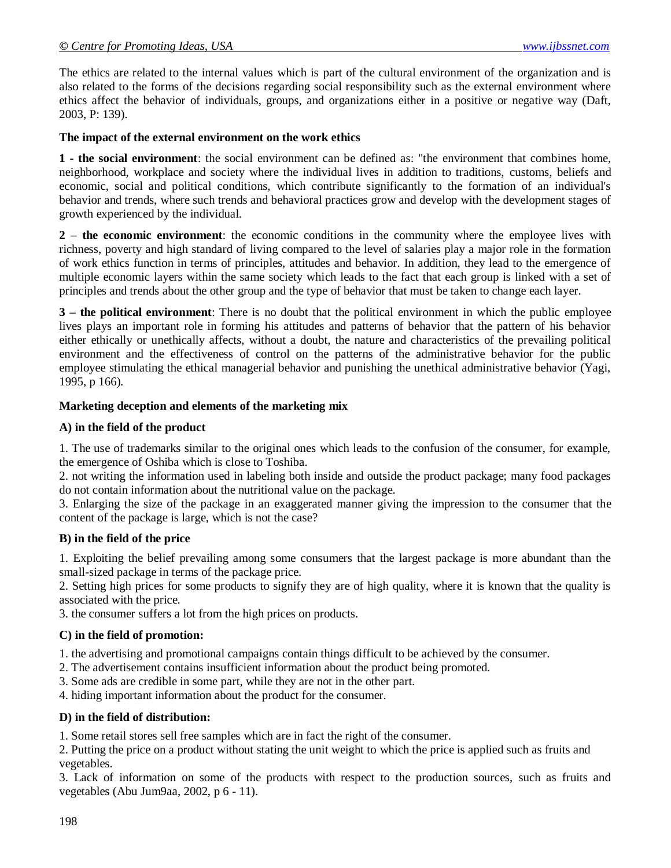The ethics are related to the internal values which is part of the cultural environment of the organization and is also related to the forms of the decisions regarding social responsibility such as the external environment where ethics affect the behavior of individuals, groups, and organizations either in a positive or negative way (Daft, 2003, P: 139).

#### **The impact of the external environment on the work ethics**

**1 - the social environment**: the social environment can be defined as: "the environment that combines home, neighborhood, workplace and society where the individual lives in addition to traditions, customs, beliefs and economic, social and political conditions, which contribute significantly to the formation of an individual's behavior and trends, where such trends and behavioral practices grow and develop with the development stages of growth experienced by the individual.

**2** – **the economic environment**: the economic conditions in the community where the employee lives with richness, poverty and high standard of living compared to the level of salaries play a major role in the formation of work ethics function in terms of principles, attitudes and behavior. In addition, they lead to the emergence of multiple economic layers within the same society which leads to the fact that each group is linked with a set of principles and trends about the other group and the type of behavior that must be taken to change each layer.

**3 – the political environment**: There is no doubt that the political environment in which the public employee lives plays an important role in forming his attitudes and patterns of behavior that the pattern of his behavior either ethically or unethically affects, without a doubt, the nature and characteristics of the prevailing political environment and the effectiveness of control on the patterns of the administrative behavior for the public employee stimulating the ethical managerial behavior and punishing the unethical administrative behavior (Yagi, 1995, p 166).

#### **Marketing deception and elements of the marketing mix**

#### **A) in the field of the product**

1. The use of trademarks similar to the original ones which leads to the confusion of the consumer, for example, the emergence of Oshiba which is close to Toshiba.

2. not writing the information used in labeling both inside and outside the product package; many food packages do not contain information about the nutritional value on the package.

3. Enlarging the size of the package in an exaggerated manner giving the impression to the consumer that the content of the package is large, which is not the case?

#### **B) in the field of the price**

1. Exploiting the belief prevailing among some consumers that the largest package is more abundant than the small-sized package in terms of the package price.

2. Setting high prices for some products to signify they are of high quality, where it is known that the quality is associated with the price.

3. the consumer suffers a lot from the high prices on products.

#### **C) in the field of promotion:**

1. the advertising and promotional campaigns contain things difficult to be achieved by the consumer.

- 2. The advertisement contains insufficient information about the product being promoted.
- 3. Some ads are credible in some part, while they are not in the other part.

4. hiding important information about the product for the consumer.

### **D) in the field of distribution:**

1. Some retail stores sell free samples which are in fact the right of the consumer.

2. Putting the price on a product without stating the unit weight to which the price is applied such as fruits and vegetables.

3. Lack of information on some of the products with respect to the production sources, such as fruits and vegetables (Abu Jum9aa, 2002, p 6 - 11).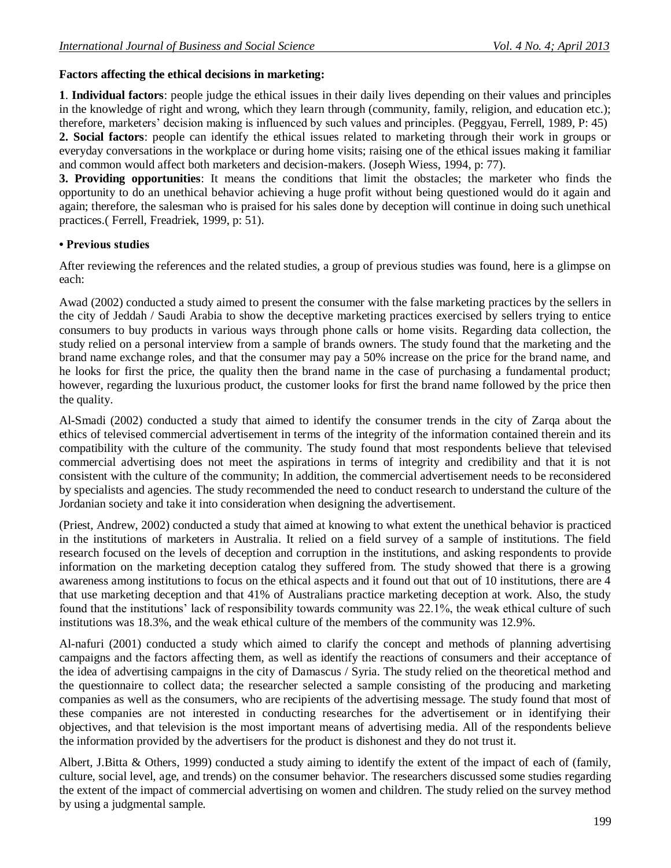### **Factors affecting the ethical decisions in marketing:**

**1**. **Individual factors**: people judge the ethical issues in their daily lives depending on their values and principles in the knowledge of right and wrong, which they learn through (community, family, religion, and education etc.); therefore, marketers' decision making is influenced by such values and principles. (Peggyau, Ferrell, 1989, P: 45) **2. Social factors**: people can identify the ethical issues related to marketing through their work in groups or everyday conversations in the workplace or during home visits; raising one of the ethical issues making it familiar and common would affect both marketers and decision-makers. (Joseph Wiess, 1994, p: 77).

**3. Providing opportunities**: It means the conditions that limit the obstacles; the marketer who finds the opportunity to do an unethical behavior achieving a huge profit without being questioned would do it again and again; therefore, the salesman who is praised for his sales done by deception will continue in doing such unethical practices.( Ferrell, Freadriek, 1999, p: 51).

### **• Previous studies**

After reviewing the references and the related studies, a group of previous studies was found, here is a glimpse on each:

Awad (2002) conducted a study aimed to present the consumer with the false marketing practices by the sellers in the city of Jeddah / Saudi Arabia to show the deceptive marketing practices exercised by sellers trying to entice consumers to buy products in various ways through phone calls or home visits. Regarding data collection, the study relied on a personal interview from a sample of brands owners. The study found that the marketing and the brand name exchange roles, and that the consumer may pay a 50% increase on the price for the brand name, and he looks for first the price, the quality then the brand name in the case of purchasing a fundamental product; however, regarding the luxurious product, the customer looks for first the brand name followed by the price then the quality.

Al-Smadi (2002) conducted a study that aimed to identify the consumer trends in the city of Zarqa about the ethics of televised commercial advertisement in terms of the integrity of the information contained therein and its compatibility with the culture of the community. The study found that most respondents believe that televised commercial advertising does not meet the aspirations in terms of integrity and credibility and that it is not consistent with the culture of the community; In addition, the commercial advertisement needs to be reconsidered by specialists and agencies. The study recommended the need to conduct research to understand the culture of the Jordanian society and take it into consideration when designing the advertisement.

(Priest, Andrew, 2002) conducted a study that aimed at knowing to what extent the unethical behavior is practiced in the institutions of marketers in Australia. It relied on a field survey of a sample of institutions. The field research focused on the levels of deception and corruption in the institutions, and asking respondents to provide information on the marketing deception catalog they suffered from. The study showed that there is a growing awareness among institutions to focus on the ethical aspects and it found out that out of 10 institutions, there are 4 that use marketing deception and that 41% of Australians practice marketing deception at work. Also, the study found that the institutions' lack of responsibility towards community was 22.1%, the weak ethical culture of such institutions was 18.3%, and the weak ethical culture of the members of the community was 12.9%.

Al-nafuri (2001) conducted a study which aimed to clarify the concept and methods of planning advertising campaigns and the factors affecting them, as well as identify the reactions of consumers and their acceptance of the idea of advertising campaigns in the city of Damascus / Syria. The study relied on the theoretical method and the questionnaire to collect data; the researcher selected a sample consisting of the producing and marketing companies as well as the consumers, who are recipients of the advertising message. The study found that most of these companies are not interested in conducting researches for the advertisement or in identifying their objectives, and that television is the most important means of advertising media. All of the respondents believe the information provided by the advertisers for the product is dishonest and they do not trust it.

Albert, J.Bitta & Others, 1999) conducted a study aiming to identify the extent of the impact of each of (family, culture, social level, age, and trends) on the consumer behavior. The researchers discussed some studies regarding the extent of the impact of commercial advertising on women and children. The study relied on the survey method by using a judgmental sample.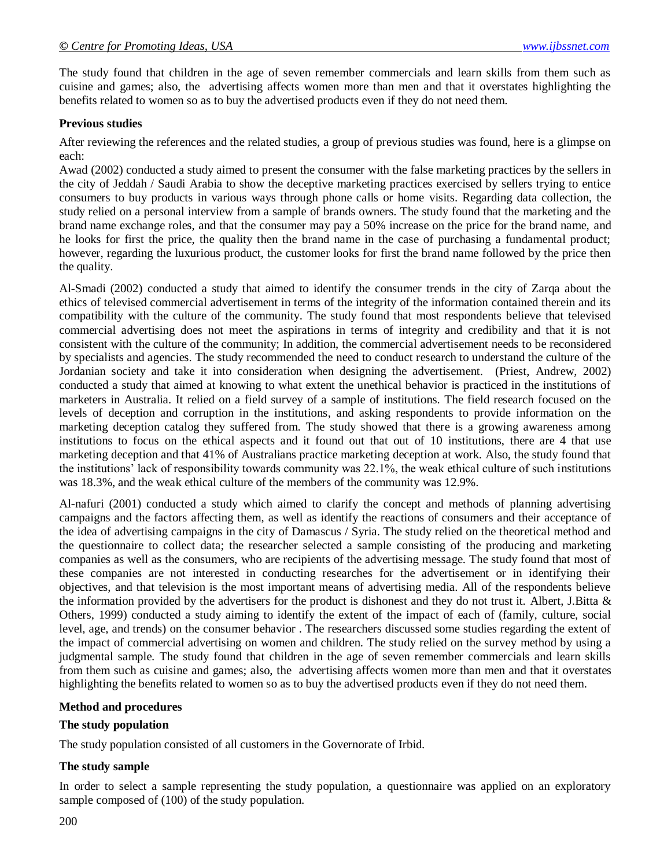The study found that children in the age of seven remember commercials and learn skills from them such as cuisine and games; also, the advertising affects women more than men and that it overstates highlighting the benefits related to women so as to buy the advertised products even if they do not need them.

#### **Previous studies**

After reviewing the references and the related studies, a group of previous studies was found, here is a glimpse on each:

Awad (2002) conducted a study aimed to present the consumer with the false marketing practices by the sellers in the city of Jeddah / Saudi Arabia to show the deceptive marketing practices exercised by sellers trying to entice consumers to buy products in various ways through phone calls or home visits. Regarding data collection, the study relied on a personal interview from a sample of brands owners. The study found that the marketing and the brand name exchange roles, and that the consumer may pay a 50% increase on the price for the brand name, and he looks for first the price, the quality then the brand name in the case of purchasing a fundamental product; however, regarding the luxurious product, the customer looks for first the brand name followed by the price then the quality.

Al-Smadi (2002) conducted a study that aimed to identify the consumer trends in the city of Zarqa about the ethics of televised commercial advertisement in terms of the integrity of the information contained therein and its compatibility with the culture of the community. The study found that most respondents believe that televised commercial advertising does not meet the aspirations in terms of integrity and credibility and that it is not consistent with the culture of the community; In addition, the commercial advertisement needs to be reconsidered by specialists and agencies. The study recommended the need to conduct research to understand the culture of the Jordanian society and take it into consideration when designing the advertisement. (Priest, Andrew, 2002) conducted a study that aimed at knowing to what extent the unethical behavior is practiced in the institutions of marketers in Australia. It relied on a field survey of a sample of institutions. The field research focused on the levels of deception and corruption in the institutions, and asking respondents to provide information on the marketing deception catalog they suffered from. The study showed that there is a growing awareness among institutions to focus on the ethical aspects and it found out that out of 10 institutions, there are 4 that use marketing deception and that 41% of Australians practice marketing deception at work. Also, the study found that the institutions' lack of responsibility towards community was 22.1%, the weak ethical culture of such institutions was 18.3%, and the weak ethical culture of the members of the community was 12.9%.

Al-nafuri (2001) conducted a study which aimed to clarify the concept and methods of planning advertising campaigns and the factors affecting them, as well as identify the reactions of consumers and their acceptance of the idea of advertising campaigns in the city of Damascus / Syria. The study relied on the theoretical method and the questionnaire to collect data; the researcher selected a sample consisting of the producing and marketing companies as well as the consumers, who are recipients of the advertising message. The study found that most of these companies are not interested in conducting researches for the advertisement or in identifying their objectives, and that television is the most important means of advertising media. All of the respondents believe the information provided by the advertisers for the product is dishonest and they do not trust it. Albert, J.Bitta  $\&$ Others, 1999) conducted a study aiming to identify the extent of the impact of each of (family, culture, social level, age, and trends) on the consumer behavior . The researchers discussed some studies regarding the extent of the impact of commercial advertising on women and children. The study relied on the survey method by using a judgmental sample. The study found that children in the age of seven remember commercials and learn skills from them such as cuisine and games; also, the advertising affects women more than men and that it overstates highlighting the benefits related to women so as to buy the advertised products even if they do not need them.

#### **Method and procedures**

#### **The study population**

The study population consisted of all customers in the Governorate of Irbid.

#### **The study sample**

In order to select a sample representing the study population, a questionnaire was applied on an exploratory sample composed of (100) of the study population.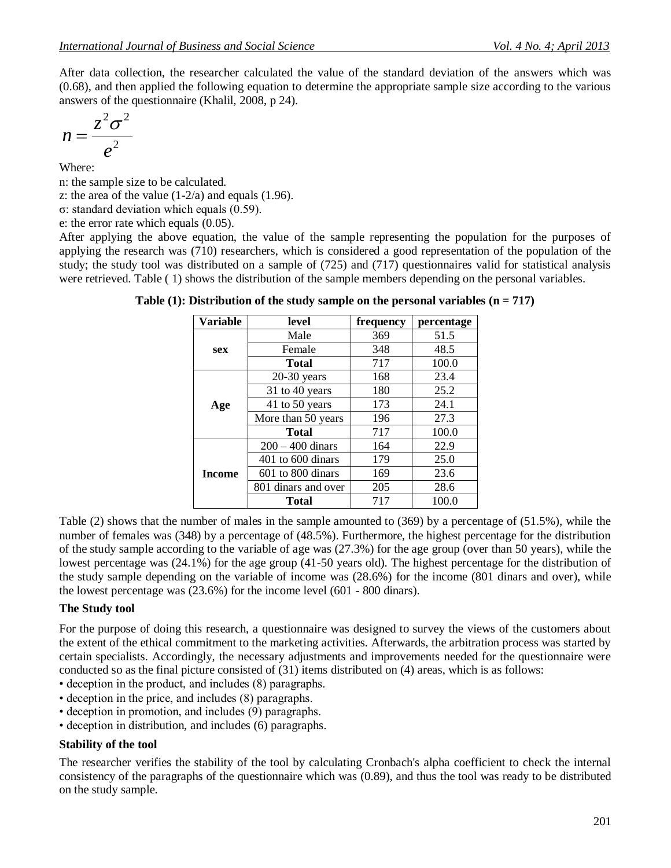After data collection, the researcher calculated the value of the standard deviation of the answers which was (0.68), and then applied the following equation to determine the appropriate sample size according to the various answers of the questionnaire (Khalil, 2008, p 24).

$$
n=\frac{z^2\sigma^2}{e^2}
$$

Where:

n: the sample size to be calculated.

z: the area of the value  $(1-2/a)$  and equals  $(1.96)$ .

σ: standard deviation which equals (0.59).

e: the error rate which equals (0.05).

After applying the above equation, the value of the sample representing the population for the purposes of applying the research was (710) researchers, which is considered a good representation of the population of the study; the study tool was distributed on a sample of (725) and (717) questionnaires valid for statistical analysis were retrieved. Table ( 1) shows the distribution of the sample members depending on the personal variables.

| Variable      | level                 | frequency | percentage |
|---------------|-----------------------|-----------|------------|
|               | Male                  | 369       | 51.5       |
| sex           | Female                | 348       | 48.5       |
|               | <b>Total</b>          | 717       | 100.0      |
|               | $20-30$ years         | 168       | 23.4       |
|               | 31 to 40 years        | 180       | 25.2       |
| Age           | 41 to 50 years        | 173       | 24.1       |
|               | More than 50 years    | 196       | 27.3       |
|               | <b>Total</b>          | 717       | 100.0      |
|               | $200 - 400$ dinars    | 164       | 22.9       |
|               | $401$ to $600$ dinars | 179       | 25.0       |
| <b>Income</b> | 601 to 800 dinars     | 169       | 23.6       |
|               | 801 dinars and over   | 205       | 28.6       |
|               | Total                 | 717       | 100.0      |

**Table (1): Distribution of the study sample on the personal variables (n = 717)**

Table (2) shows that the number of males in the sample amounted to (369) by a percentage of (51.5%), while the number of females was (348) by a percentage of (48.5%). Furthermore, the highest percentage for the distribution of the study sample according to the variable of age was (27.3%) for the age group (over than 50 years), while the lowest percentage was (24.1%) for the age group (41-50 years old). The highest percentage for the distribution of the study sample depending on the variable of income was (28.6%) for the income (801 dinars and over), while the lowest percentage was (23.6%) for the income level (601 - 800 dinars).

### **The Study tool**

For the purpose of doing this research, a questionnaire was designed to survey the views of the customers about the extent of the ethical commitment to the marketing activities. Afterwards, the arbitration process was started by certain specialists. Accordingly, the necessary adjustments and improvements needed for the questionnaire were conducted so as the final picture consisted of (31) items distributed on (4) areas, which is as follows:

- deception in the product, and includes (8) paragraphs.
- deception in the price, and includes (8) paragraphs.
- deception in promotion, and includes (9) paragraphs.
- deception in distribution, and includes (6) paragraphs.

### **Stability of the tool**

The researcher verifies the stability of the tool by calculating Cronbach's alpha coefficient to check the internal consistency of the paragraphs of the questionnaire which was (0.89), and thus the tool was ready to be distributed on the study sample.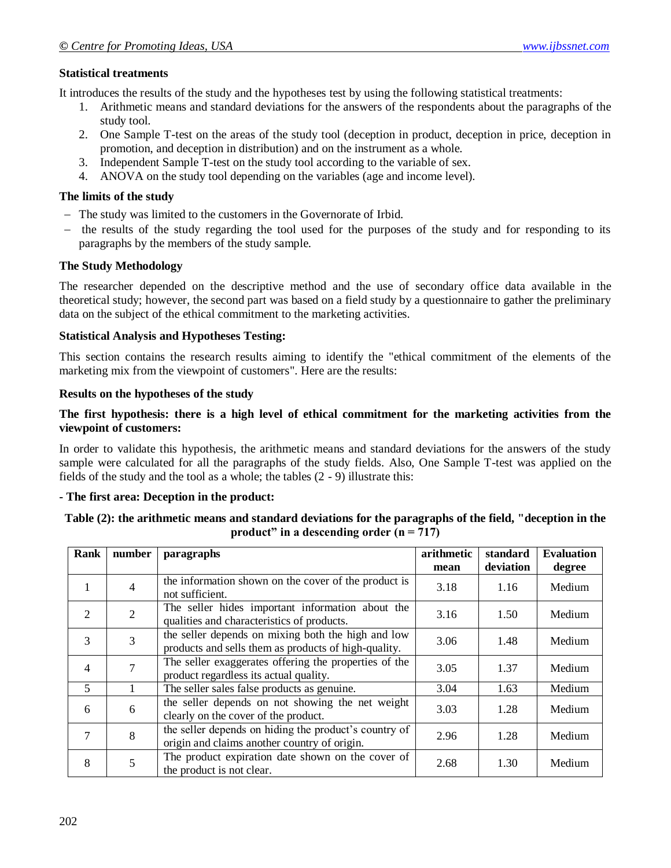# **Statistical treatments**

It introduces the results of the study and the hypotheses test by using the following statistical treatments:

- 1. Arithmetic means and standard deviations for the answers of the respondents about the paragraphs of the study tool.
- 2. One Sample T-test on the areas of the study tool (deception in product, deception in price, deception in promotion, and deception in distribution) and on the instrument as a whole.
- 3. Independent Sample T-test on the study tool according to the variable of sex.
- 4. ANOVA on the study tool depending on the variables (age and income level).

## **The limits of the study**

- The study was limited to the customers in the Governorate of Irbid.
- the results of the study regarding the tool used for the purposes of the study and for responding to its paragraphs by the members of the study sample.

# **The Study Methodology**

The researcher depended on the descriptive method and the use of secondary office data available in the theoretical study; however, the second part was based on a field study by a questionnaire to gather the preliminary data on the subject of the ethical commitment to the marketing activities.

# **Statistical Analysis and Hypotheses Testing:**

This section contains the research results aiming to identify the "ethical commitment of the elements of the marketing mix from the viewpoint of customers". Here are the results:

# **Results on the hypotheses of the study**

### **The first hypothesis: there is a high level of ethical commitment for the marketing activities from the viewpoint of customers:**

In order to validate this hypothesis, the arithmetic means and standard deviations for the answers of the study sample were calculated for all the paragraphs of the study fields. Also, One Sample T-test was applied on the fields of the study and the tool as a whole; the tables (2 - 9) illustrate this:

### **- The first area: Deception in the product:**

### **Table (2): the arithmetic means and standard deviations for the paragraphs of the field, "deception in the product" in a descending order (n = 717)**

| Rank           | number | paragraphs                                                                                                 | arithmetic | standard  | <b>Evaluation</b> |
|----------------|--------|------------------------------------------------------------------------------------------------------------|------------|-----------|-------------------|
|                |        |                                                                                                            | mean       | deviation | degree            |
| 1              | 4      | the information shown on the cover of the product is<br>not sufficient.                                    | 3.18       | 1.16      | Medium            |
| $\overline{2}$ | 2      | The seller hides important information about the<br>qualities and characteristics of products.             | 3.16       | 1.50      | Medium            |
| 3              | 3      | the seller depends on mixing both the high and low<br>products and sells them as products of high-quality. | 3.06       | 1.48      | Medium            |
| $\overline{4}$ |        | The seller exaggerates offering the properties of the<br>product regardless its actual quality.            | 3.05       | 1.37      | Medium            |
| 5              |        | The seller sales false products as genuine.                                                                | 3.04       | 1.63      | Medium            |
| 6              | 6      | the seller depends on not showing the net weight<br>clearly on the cover of the product.                   | 3.03       | 1.28      | Medium            |
| 7              | 8      | the seller depends on hiding the product's country of<br>origin and claims another country of origin.      | 2.96       | 1.28      | Medium            |
| 8              | 5      | The product expiration date shown on the cover of<br>the product is not clear.                             | 2.68       | 1.30      | Medium            |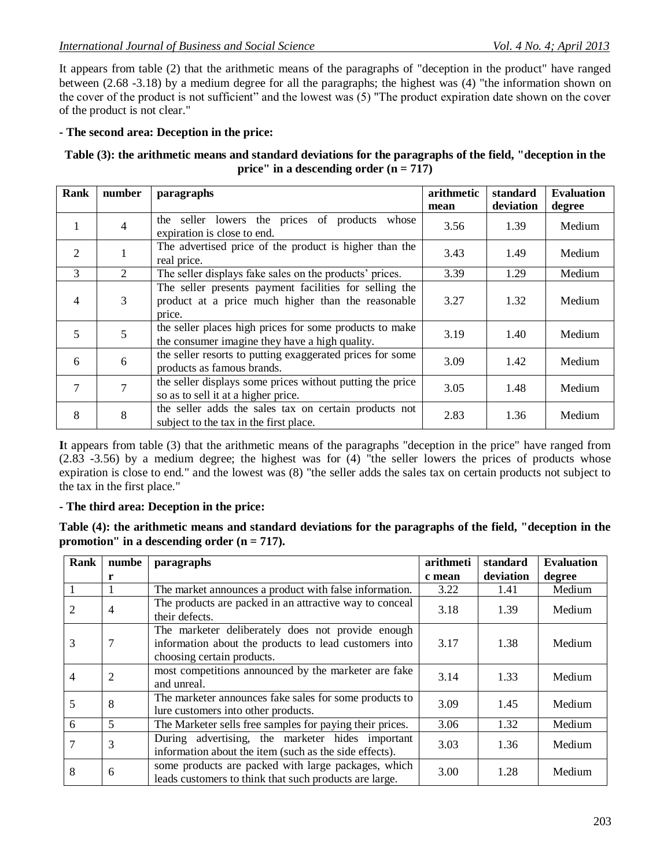It appears from table (2) that the arithmetic means of the paragraphs of "deception in the product" have ranged between (2.68 -3.18) by a medium degree for all the paragraphs; the highest was (4) "the information shown on the cover of the product is not sufficient" and the lowest was (5) "The product expiration date shown on the cover of the product is not clear."

# **- The second area: Deception in the price:**

### **Table (3): the arithmetic means and standard deviations for the paragraphs of the field, "deception in the price" in a descending order (n = 717)**

| <b>Rank</b>    | number         | paragraphs                                                                                                             | arithmetic | standard  | <b>Evaluation</b> |
|----------------|----------------|------------------------------------------------------------------------------------------------------------------------|------------|-----------|-------------------|
|                |                |                                                                                                                        | mean       | deviation | degree            |
| 1              | $\overline{4}$ | the seller lowers the prices of products whose<br>expiration is close to end.                                          | 3.56       | 1.39      | Medium            |
| $\overline{2}$ |                | The advertised price of the product is higher than the<br>real price.                                                  | 3.43       | 1.49      | Medium            |
| 3              | $\overline{2}$ | The seller displays fake sales on the products' prices.                                                                | 3.39       | 1.29      | Medium            |
| $\overline{4}$ | 3              | The seller presents payment facilities for selling the<br>product at a price much higher than the reasonable<br>price. | 3.27       | 1.32      | Medium            |
| 5              | 5              | the seller places high prices for some products to make<br>the consumer imagine they have a high quality.              | 3.19       | 1.40      | Medium            |
| 6              | 6              | the seller resorts to putting exaggerated prices for some<br>products as famous brands.                                | 3.09       | 1.42      | Medium            |
| 7              | 7              | the seller displays some prices without putting the price<br>so as to sell it at a higher price.                       | 3.05       | 1.48      | Medium            |
| 8              | 8              | the seller adds the sales tax on certain products not<br>subject to the tax in the first place.                        | 2.83       | 1.36      | Medium            |

**I**t appears from table (3) that the arithmetic means of the paragraphs "deception in the price" have ranged from  $(2.83 - 3.56)$  by a medium degree; the highest was for  $(4)$  "the seller lowers the prices of products whose expiration is close to end." and the lowest was (8) "the seller adds the sales tax on certain products not subject to the tax in the first place."

### **- The third area: Deception in the price:**

**Table (4): the arithmetic means and standard deviations for the paragraphs of the field, "deception in the promotion" in a descending order (n = 717).**

| Rank | numbe          | paragraphs                                                                                                                               | arithmeti | standard  | <b>Evaluation</b> |
|------|----------------|------------------------------------------------------------------------------------------------------------------------------------------|-----------|-----------|-------------------|
|      | r              |                                                                                                                                          | c mean    | deviation | degree            |
|      | 1              | The market announces a product with false information.                                                                                   | 3.22      | 1.41      | Medium            |
| 2    | 4              | The products are packed in an attractive way to conceal<br>their defects.                                                                | 3.18      | 1.39      | Medium            |
| 3    |                | The marketer deliberately does not provide enough<br>information about the products to lead customers into<br>choosing certain products. | 3.17      | 1.38      | Medium            |
| 4    | $\overline{2}$ | most competitions announced by the marketer are fake<br>and unreal.                                                                      | 3.14      | 1.33      | Medium            |
| 5    | 8              | The marketer announces fake sales for some products to<br>lure customers into other products.                                            | 3.09      | 1.45      | Medium            |
| 6    | $\mathfrak{S}$ | 3.06<br>The Marketer sells free samples for paying their prices.                                                                         |           | 1.32      | Medium            |
|      | 3              | During advertising, the marketer hides important<br>information about the item (such as the side effects).                               | 3.03      | 1.36      | Medium            |
| 8    | 6              | some products are packed with large packages, which<br>leads customers to think that such products are large.                            | 3.00      | 1.28      | Medium            |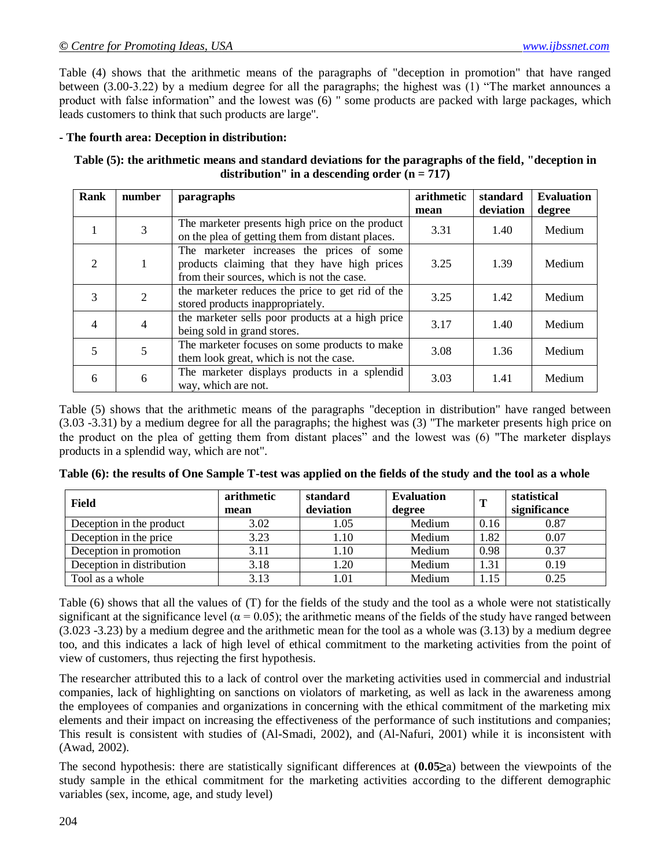Table (4) shows that the arithmetic means of the paragraphs of "deception in promotion" that have ranged between (3.00-3.22) by a medium degree for all the paragraphs; the highest was  $(1)$  "The market announces a product with false information" and the lowest was (6) " some products are packed with large packages, which leads customers to think that such products are large".

#### **- The fourth area: Deception in distribution:**

**Table (5): the arithmetic means and standard deviations for the paragraphs of the field, "deception in distribution" in a descending order (n = 717)**

| Rank           | number | paragraphs                                                                                                                              | arithmetic<br>mean | standard<br>deviation | <b>Evaluation</b><br>degree |
|----------------|--------|-----------------------------------------------------------------------------------------------------------------------------------------|--------------------|-----------------------|-----------------------------|
|                |        | The marketer presents high price on the product<br>on the plea of getting them from distant places.                                     | 3.31               | 1.40                  | Medium                      |
| 2              |        | The marketer increases the prices of some<br>products claiming that they have high prices<br>from their sources, which is not the case. | 3.25               | 1.39                  | Medium                      |
| 3              |        | the marketer reduces the price to get rid of the<br>stored products inappropriately.                                                    | 3.25               | 1.42                  | Medium                      |
| $\overline{4}$ |        | the marketer sells poor products at a high price<br>being sold in grand stores.                                                         | 3.17               | 1.40                  | Medium                      |
| 5              |        | The marketer focuses on some products to make<br>them look great, which is not the case.                                                | 3.08               | 1.36                  | Medium                      |
| 6              | 6      | The marketer displays products in a splendid<br>way, which are not.                                                                     | 3.03               | 1.41                  | Medium                      |

Table (5) shows that the arithmetic means of the paragraphs "deception in distribution" have ranged between (3.03 -3.31) by a medium degree for all the paragraphs; the highest was (3) "The marketer presents high price on the product on the plea of getting them from distant places" and the lowest was (6) "The marketer displays products in a splendid way, which are not".

| <b>Field</b>              | arithmetic<br>mean | standard<br>deviation | <b>Evaluation</b><br>degree |      | statistical<br>significance |
|---------------------------|--------------------|-----------------------|-----------------------------|------|-----------------------------|
| Deception in the product  | 3.02               | 1.05                  | Medium                      | 0.16 | 0.87                        |
| Deception in the price    | 3.23               | 1.10                  | Medium                      | 1.82 | 0.07                        |
| Deception in promotion    | 3.11               | 1.10                  | Medium                      | 0.98 | 0.37                        |
| Deception in distribution | 3.18               | 1.20                  | Medium                      | 1.31 | 0.19                        |
| Tool as a whole           | 3.13               | 1.01                  | Medium                      | 1.15 | 0.25                        |

**Table (6): the results of One Sample T-test was applied on the fields of the study and the tool as a whole**

Table (6) shows that all the values of (T) for the fields of the study and the tool as a whole were not statistically significant at the significance level ( $\alpha = 0.05$ ); the arithmetic means of the fields of the study have ranged between (3.023 -3.23) by a medium degree and the arithmetic mean for the tool as a whole was (3.13) by a medium degree too, and this indicates a lack of high level of ethical commitment to the marketing activities from the point of view of customers, thus rejecting the first hypothesis.

The researcher attributed this to a lack of control over the marketing activities used in commercial and industrial companies, lack of highlighting on sanctions on violators of marketing, as well as lack in the awareness among the employees of companies and organizations in concerning with the ethical commitment of the marketing mix elements and their impact on increasing the effectiveness of the performance of such institutions and companies; This result is consistent with studies of (Al-Smadi, 2002), and (Al-Nafuri, 2001) while it is inconsistent with (Awad, 2002).

The second hypothesis: there are statistically significant differences at  $(0.05\geq a)$  between the viewpoints of the study sample in the ethical commitment for the marketing activities according to the different demographic variables (sex, income, age, and study level)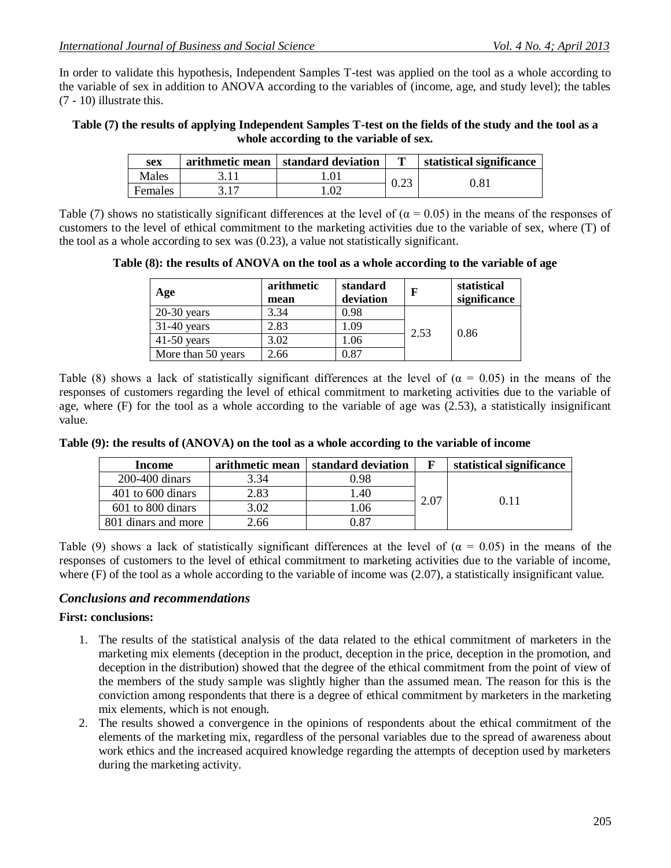In order to validate this hypothesis, Independent Samples T-test was applied on the tool as a whole according to the variable of sex in addition to ANOVA according to the variables of (income, age, and study level); the tables (7 - 10) illustrate this.

#### **Table (7) the results of applying Independent Samples T-test on the fields of the study and the tool as a whole according to the variable of sex.**

| sex     | arithmetic mean | standard deviation | m    | statistical significance |
|---------|-----------------|--------------------|------|--------------------------|
| Males   |                 |                    | 0.23 | 0.81                     |
| Females |                 |                    |      |                          |

Table (7) shows no statistically significant differences at the level of ( $\alpha$  = 0.05) in the means of the responses of customers to the level of ethical commitment to the marketing activities due to the variable of sex, where (T) of the tool as a whole according to sex was (0.23), a value not statistically significant.

**Table (8): the results of ANOVA on the tool as a whole according to the variable of age**

| Age                | arithmetic<br>mean | standard<br>deviation | F    | statistical<br>significance |
|--------------------|--------------------|-----------------------|------|-----------------------------|
| $20-30$ years      | 3.34               | 0.98                  |      | 0.86                        |
| $31-40$ years      | 2.83               | 1.09                  | 2.53 |                             |
| $41-50$ years      | 3.02               | 1.06                  |      |                             |
| More than 50 years | 2.66               | 0.87                  |      |                             |

Table (8) shows a lack of statistically significant differences at the level of ( $\alpha = 0.05$ ) in the means of the responses of customers regarding the level of ethical commitment to marketing activities due to the variable of age, where (F) for the tool as a whole according to the variable of age was (2.53), a statistically insignificant value.

| Income                | arithmetic mean | standard deviation |      | statistical significance |  |
|-----------------------|-----------------|--------------------|------|--------------------------|--|
| $200-400$ dinars      | 3.34            | ).98               |      |                          |  |
| $401$ to $600$ dinars | 2.83            | .40                |      | 0.11                     |  |
| $601$ to $800$ dinars | 3.02            | l.06               | 2.07 |                          |  |
| 801 dinars and more   | 2.66            | ).87               |      |                          |  |

**Table (9): the results of (ANOVA) on the tool as a whole according to the variable of income**

Table (9) shows a lack of statistically significant differences at the level of ( $\alpha = 0.05$ ) in the means of the responses of customers to the level of ethical commitment to marketing activities due to the variable of income, where (F) of the tool as a whole according to the variable of income was (2.07), a statistically insignificant value.

### *Conclusions and recommendations*

#### **First: conclusions:**

- 1. The results of the statistical analysis of the data related to the ethical commitment of marketers in the marketing mix elements (deception in the product, deception in the price, deception in the promotion, and deception in the distribution) showed that the degree of the ethical commitment from the point of view of the members of the study sample was slightly higher than the assumed mean. The reason for this is the conviction among respondents that there is a degree of ethical commitment by marketers in the marketing mix elements, which is not enough.
- 2. The results showed a convergence in the opinions of respondents about the ethical commitment of the elements of the marketing mix, regardless of the personal variables due to the spread of awareness about work ethics and the increased acquired knowledge regarding the attempts of deception used by marketers during the marketing activity.